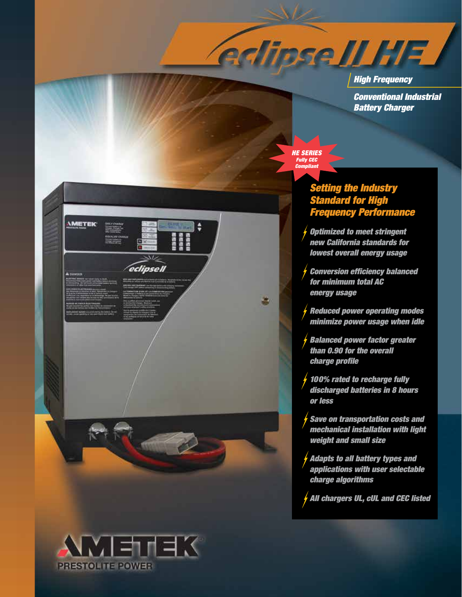*High Frequency Conventional Industrial Battery Charger*

*HE SERIES Fully CEC Compliant*

鹰

**edinse ILHE** 

# *Setting the Industry Standard for High Frequency Performance*

*Optimized to meet stringent new California standards for lowest overall energy usage* 

*Conversion efficiency balanced for minimum total AC energy usage*

*Reduced power operating modes minimize power usage when idle*

*Balanced power factor greater than 0.90 for the overall charge profile*

*100% rated to recharge fully discharged batteries in 8 hours or less*

*Save on transportation costs and mechanical installation with light weight and small size*

*Adapts to all battery types and applications with user selectable charge algorithms*

*All chargers UL, cUL and CEC listed*



 $\left( \begin{array}{cc} \text{mod} & \text{mod} \ 0 & \text{mod} \end{array} \right)$ 

*IMETEK* 

anaa<br>aaaaa<br>aaaa

eclipsell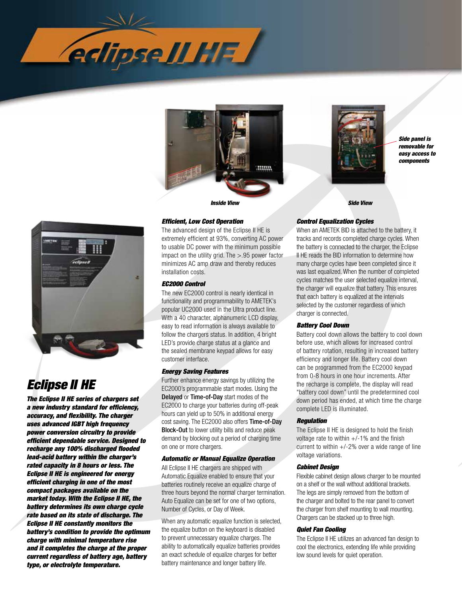





*Side panel is removable for easy access to components*



# *Eclipse II HE*

*The Eclipse II HE series of chargers set a new industry standard for efficiency, accuracy, and flexibility. The charger uses advanced IGBT high frequency power conversion circuitry to provide efficient dependable service. Designed to recharge any 100% discharged flooded lead-acid battery within the charger's rated capacity in 8 hours or less. The Eclipse II HE is engineered for energy efficient charging in one of the most compact packages available on the market today. With the Eclipse II HE, the battery determines its own charge cycle rate based on its state of discharge. The Eclipse II HE constantly monitors the battery's condition to provide the optimum charge with minimal temperature rise and it completes the charge at the proper current regardless of battery age, battery type, or electrolyte temperature.*

## *Efficient, Low Cost Operation*

The advanced design of the Eclipse II HE is extremely efficient at 93%, converting AC power to usable DC power with the minimum possible impact on the utility grid. The  $> 0.95$  power factor minimizes AC amp draw and thereby reduces installation costs.

### *EC2000 Control*

The new EC2000 control is nearly identical in functionality and programmability to AMETEK's popular UC2000 used in the Ultra product line. With a 40 character, alphanumeric LCD display, easy to read information is always available to follow the chargers status. In addition, 4 bright LED's provide charge status at a glance and the sealed membrane keypad allows for easy customer interface.

#### *Energy Saving Features*

Further enhance energy savings by utilizing the EC2000's programmable start modes. Using the Delayed or Time-of-Day start modes of the EC2000 to charge your batteries during off-peak hours can yield up to 50% in additional energy cost saving. The EC2000 also offers Time-of-Day Block-Out to lower utility bills and reduce peak demand by blocking out a period of charging time on one or more chargers.

#### *Automatic or Manual Equalize Operation*

All Eclipse II HE chargers are shipped with Automatic Equalize enabled to ensure that your batteries routinely receive an equalize charge of three hours beyond the normal charger termination. Auto Equalize can be set for one of two options, Number of Cycles, or Day of Week.

When any automatic equalize function is selected, the equalize button on the keyboard is disabled to prevent unnecessary equalize charges. The ability to automatically equalize batteries provides an exact schedule of equalize charges for better battery maintenance and longer battery life.

#### *Control Equalization Cycles*

When an AMETEK BID is attached to the battery, it tracks and records completed charge cycles. When the battery is connected to the charger, the Eclipse II HE reads the BID information to determine how many charge cycles have been completed since it was last equalized. When the number of completed cycles matches the user selected equalize interval, the charger will equalize that battery. This ensures that each battery is equalized at the intervals selected by the customer regardless of which charger is connected.

#### *Battery Cool Down*

Battery cool down allows the battery to cool down before use, which allows for increased control of battery rotation, resulting in increased battery efficiency and longer life. Battery cool down can be programmed from the EC2000 keypad from 0-8 hours in one hour increments. After the recharge is complete, the display will read "battery cool down" until the predetermined cool down period has ended, at which time the charge complete LED is illuminated.

#### *Regulation*

The Eclipse II HE is designed to hold the finish voltage rate to within  $+/-1\%$  and the finish current to within +/-2% over a wide range of line voltage variations.

#### *Cabinet Design*

Flexible cabinet design allows charger to be mounted on a shelf or the wall without additional brackets. The legs are simply removed from the bottom of the charger and bolted to the rear panel to convert the charger from shelf mounting to wall mounting. Chargers can be stacked up to three high.

#### *Quiet Fan Cooling*

The Eclipse II HE utilizes an advanced fan design to cool the electronics, extending life while providing low sound levels for quiet operation.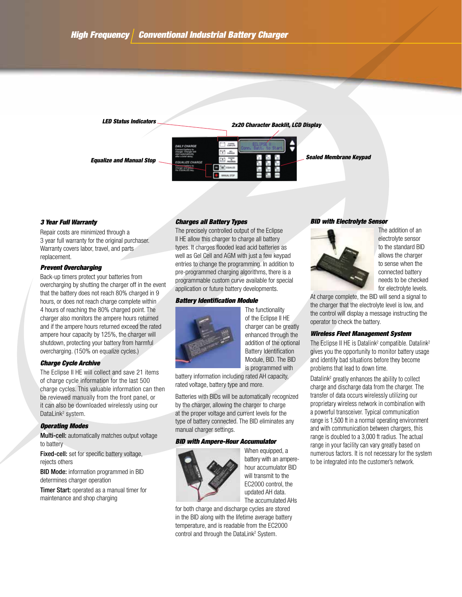

#### *3 Year Full Warranty*

Repair costs are minimized through a 3 year full warranty for the original purchaser. Warranty covers labor, travel, and parts replacement.

#### *Prevent Overcharging*

Back-up timers protect your batteries from overcharging by shutting the charger off in the event that the battery does not reach 80% charged in 9 hours, or does not reach charge complete within 4 hours of reaching the 80% charged point. The charger also monitors the ampere hours returned and if the ampere hours returned exceed the rated ampere hour capacity by 125%, the charger will shutdown, protecting your battery from harmful overcharging. (150% on equalize cycles.)

#### *Charge Cycle Archive*

The Eclipse II HE will collect and save 21 items of charge cycle information for the last 500 charge cycles. This valuable information can then be reviewed manually from the front panel, or it can also be downloaded wirelessly using our DataLink<sup>2</sup> system.

#### *Operating Modes*

Multi-cell: automatically matches output voltage to battery

Fixed-cell: set for specific battery voltage. rejects others

BID Mode: information programmed in BID determines charger operation

Timer Start: operated as a manual timer for maintenance and shop charging

#### *Charges all Battery Types*

The precisely controlled output of the Eclipse II HE allow this charger to charge all battery types. It charges flooded lead acid batteries as well as Gel Cell and AGM with just a few keypad entries to change the programming. In addition to pre-programmed charging algorithms, there is a programmable custom curve available for special application or future battery developments.

#### *Battery Identification Module*



The functionality of the Eclipse II HE charger can be greatly enhanced through the addition of the optional Battery Identification Module, BID. The BID is programmed with

battery information including rated AH capacity, rated voltage, battery type and more.

Batteries with BIDs will be automatically recognized by the charger, allowing the charger to charge at the proper voltage and current levels for the type of battery connected. The BID eliminates any manual charger settings.

#### *BID with Ampere-Hour Accumulator*



When equipped, a battery with an amperehour accumulator BID will transmit to the EC2000 control, the updated AH data. The accumulated AHs

for both charge and discharge cycles are stored in the BID along with the lifetime average battery temperature, and is readable from the EC2000 control and through the DataLink<sup>2</sup> System.

#### *BID with Electrolyte Sensor*



The addition of an electrolyte sensor to the standard BID allows the charger to sense when the connected battery needs to be checked for electrolyte levels.

At charge complete, the BID will send a signal to the charger that the electrolyte level is low, and the control will display a message instructing the operator to check the battery.

#### *Wireless Fleet Management System*

The Eclipse II HE is Datalink<sup>2</sup> compatible. Datalink<sup>2</sup> gives you the opportunity to monitor battery usage and identify bad situations before they become problems that lead to down time.

Datalink<sup>2</sup> greatly enhances the ability to collect charge and discharge data from the charger. The transfer of data occurs wirelessly utilizing our proprietary wireless network in combination with a powerful transceiver. Typical communication range is 1,500 ft in a normal operating environment and with communication between chargers, this range is doubled to a 3,000 ft radius. The actual range in your facility can vary greatly based on numerous factors. It is not necessary for the system to be integrated into the customer's network.